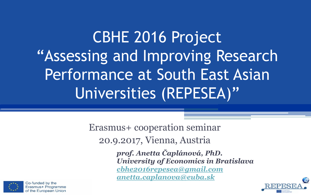### CBHE 2016 Project "Assessing and Improving Research" Performance at South East Asian Universities (REPESEA)"

*prof. Anetta Čaplánová, PhD. University of Economics in Bratislava [cbhe2016repesea@gmail.com](mailto:cbhe2016repesea@gmail.com) [anetta.caplanova@euba.sk](mailto:anetta.caplanova@euba.sk)* Erasmus+ cooperation seminar 20.9.2017, Vienna, Austria





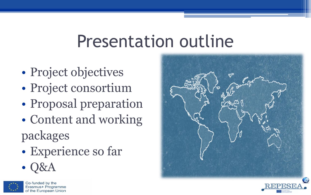#### Presentation outline

- Project objectives
- Project consortium
- Proposal preparation
- Content and working packages
- Experience so far
- Q&A



Co-funded by the Erasmus+ Programme of the European Union

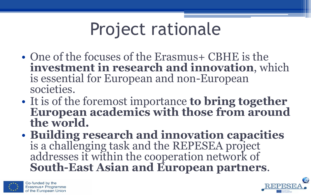# Project rationale

- One of the focuses of the Erasmus+ CBHE is the **investment in research and innovation**, which is essential for European and non-European societies.
- It is of the foremost importance **to bring together European academics with those from around the world.**
- **Building research and innovation capacities**  is a challenging task and the REPESEA project addresses it within the cooperation network of **South-East Asian and European partners**.



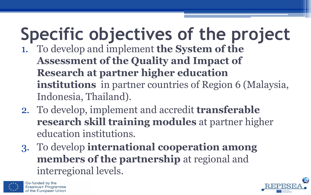# **Specific objectives of the project**

- 1. To develop and implement **the System of the Assessment of the Quality and Impact of Research at partner higher education institutions** in partner countries of Region 6 (Malaysia, Indonesia, Thailand).
- 2. To develop, implement and accredit **transferable research skill training modules** at partner higher education institutions.
- 3. To develop **international cooperation among members of the partnership** at regional and interregional levels.



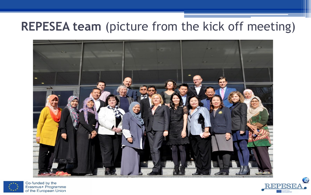#### **REPESEA team** (picture from the kick off meeting)





Co-funded by the Erasmus+ Programme of the European Union

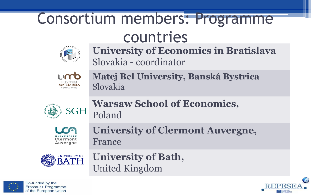### Consortium members: Programme countries



#### **University of Economics in Bratislava** Slovakia - coordinator



**Matej Bel University, Banská Bystrica** Slovakia



**Warsaw School of Economics,** Poland



**University of Clermont Auvergne,** France



**University of Bath,** United Kingdom



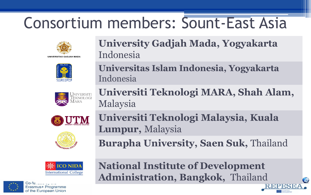#### Consortium members: Sount-East Asia















Erasmus+ Programme of the European Union

**University Gadjah Mada, Yogyakarta** Indonesia

**Universitas Islam Indonesia, Yogyakarta** Indonesia

**Universiti Teknologi MARA, Shah Alam,** Malaysia

**Universiti Teknologi Malaysia, Kuala Lumpur,** Malaysia

**Burapha University, Saen Suk,** Thailand

**National Institute of Development Administration, Bangkok,** Thailand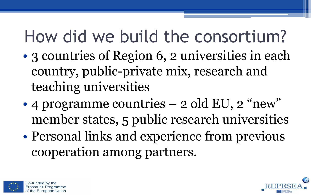# How did we build the consortium?

- 3 countries of Region 6, 2 universities in each country, public-private mix, research and teaching universities
- 4 programme countries 2 old EU, 2 "new" member states, 5 public research universities
- Personal links and experience from previous cooperation among partners.



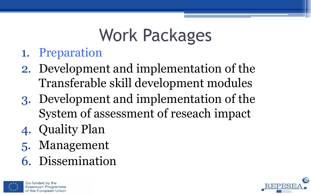# Work Packages

- 1. Preparation
- 2. Development and implementation of the Transferable skill development modules
- 3. Development and implementation of the System of assessment of reseach impact
- 4. Quality Plan
- 5. Management
- 6. Dissemination



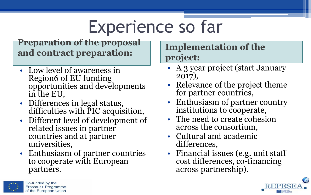## Experience so far

#### **Preparation of the proposal and contract preparation: Implementation of the**

- Low level of awareness in Region6 of EU funding opportunities and developments in the EU,
- Differences in legal status, difficulties with PIC acquisition,
- Different level of development of related issues in partner countries and at partner universities,
- Enthusiasm of partner countries to cooperate with European partners.

# **project:**

- A 3 year project (start January 2017),
- Relevance of the project theme for partner countries,
- Enthusiasm of partner country institutions to cooperate,
- The need to create cohesion across the consortium,
- Cultural and academic differences,
- Financial issues (e.g. unit staff cost differences, co-financing across partnership).



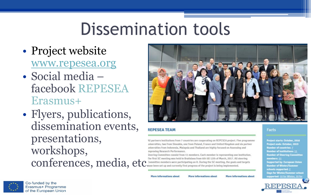## Dissemination tools

- Project website [www.repesea.org](http://www.repesea.org/)
- Social media facebook REPESEA Erasmus+
- Flyers, publications, dissemination events, presentations, workshops,  $\rm \textbf{conf}$  and currently was held in Bratislava from 6th till 12th of March, 2017. All steering  $\rm \textbf{C}$  and  $\rm \textbf{C}$  boundittee members were participating on it. During the SC meeting, the goals and targets



#### **REPESEA TEAM**

All partners institutions from 7 countries are cooperating on REPESEA project. Five programme aniversities, two from Slovakia, one from Poland, France and United Kingdom and six partner universities from Indonesia, Malaysia and Thailand are highly focused on Assessing and mproving Research Performance.

Steering Committee consist from 11 members. Each member is representing one institution.

**More informations about** 

More informations about

#### Facts

Project starts: October, 2016 Project ends: October, 2019 **Number of countries: 7 Number of institutions: 11 Number of Steering Committee** members: 11 **Supported by: European Union Number of Winter/Summer** schools supported: 2 **Days for Winter/Summer school** orted: 10 for Winter, 10



More informations about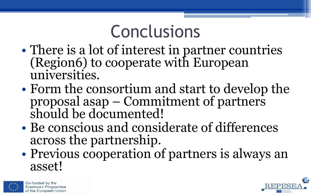## Conclusions

- There is a lot of interest in partner countries (Region6) to cooperate with European universities.
- Form the consortium and start to develop the proposal asap – Commitment of partners should be documented!
- Be conscious and considerate of differences across the partnership.
- Previous cooperation of partners is always an asset!